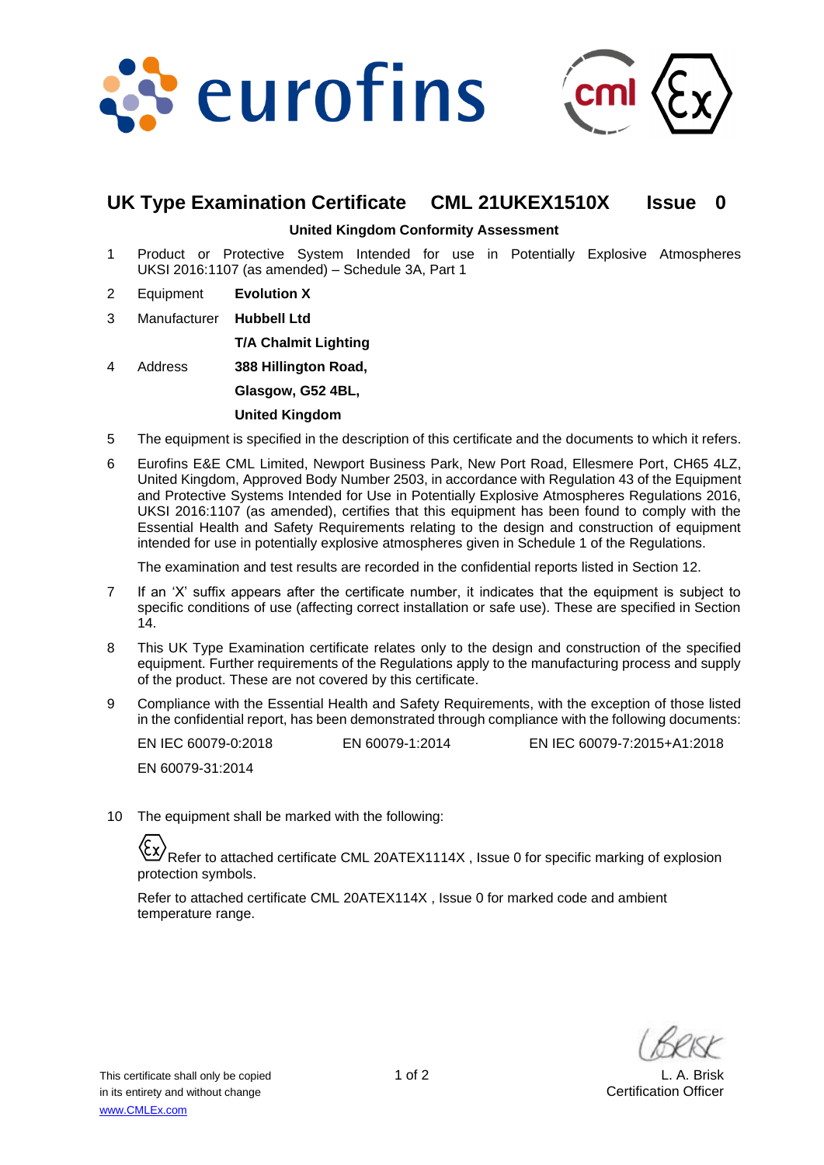



## **UK Type Examination Certificate CML 21UKEX1510X Issue 0**

#### **United Kingdom Conformity Assessment**

- 1 Product or Protective System Intended for use in Potentially Explosive Atmospheres UKSI 2016:1107 (as amended) – Schedule 3A, Part 1
- 2 Equipment **Evolution X**
- 3 Manufacturer **Hubbell Ltd**

**T/A Chalmit Lighting** 

4 Address **388 Hillington Road,** 

**Glasgow, G52 4BL,** 

#### **United Kingdom**

- 5 The equipment is specified in the description of this certificate and the documents to which it refers.
- 6 Eurofins E&E CML Limited, Newport Business Park, New Port Road, Ellesmere Port, CH65 4LZ, United Kingdom, Approved Body Number 2503, in accordance with Regulation 43 of the Equipment and Protective Systems Intended for Use in Potentially Explosive Atmospheres Regulations 2016, UKSI 2016:1107 (as amended), certifies that this equipment has been found to comply with the Essential Health and Safety Requirements relating to the design and construction of equipment intended for use in potentially explosive atmospheres given in Schedule 1 of the Regulations.

The examination and test results are recorded in the confidential reports listed in Section 12.

- 7 If an 'X' suffix appears after the certificate number, it indicates that the equipment is subject to specific conditions of use (affecting correct installation or safe use). These are specified in Section 14.
- 8 This UK Type Examination certificate relates only to the design and construction of the specified equipment. Further requirements of the Regulations apply to the manufacturing process and supply of the product. These are not covered by this certificate.
- 9 Compliance with the Essential Health and Safety Requirements, with the exception of those listed in the confidential report, has been demonstrated through compliance with the following documents:

EN IEC 60079-0:2018 EN 60079-1:2014 EN IEC 60079-7:2015+A1:2018 EN 60079-31:2014

10 The equipment shall be marked with the following:

Refer to attached certificate CML 20ATEX1114X , Issue 0 for specific marking of explosion protection symbols.

Refer to attached certificate CML 20ATEX114X , Issue 0 for marked code and ambient temperature range.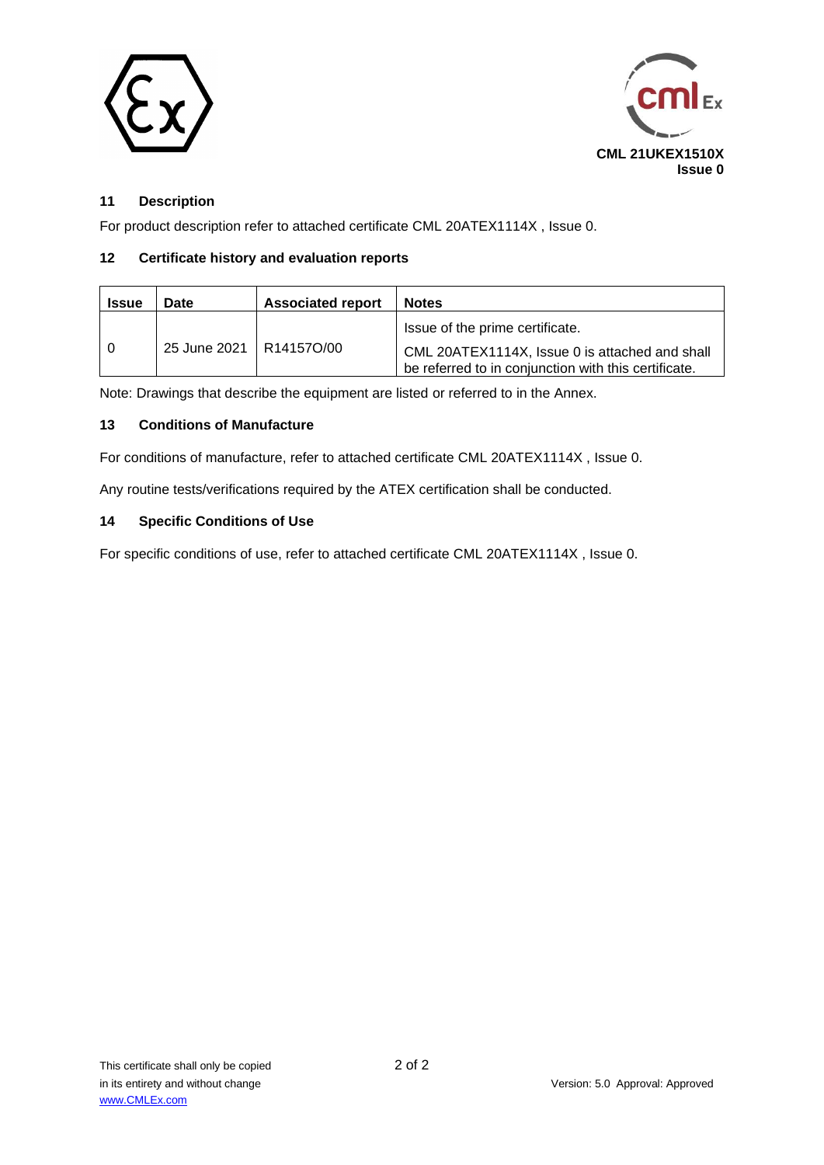



### **11 Description**

For product description refer to attached certificate CML 20ATEX1114X , Issue 0.

#### **12 Certificate history and evaluation reports**

| <b>Issue</b> | Date                      | <b>Associated report</b> | <b>Notes</b>                                                                                                                              |
|--------------|---------------------------|--------------------------|-------------------------------------------------------------------------------------------------------------------------------------------|
|              | 25 June 2021   R14157O/00 |                          | Issue of the prime certificate.<br>CML 20ATEX1114X, Issue 0 is attached and shall<br>be referred to in conjunction with this certificate. |

Note: Drawings that describe the equipment are listed or referred to in the Annex.

#### **13 Conditions of Manufacture**

For conditions of manufacture, refer to attached certificate CML 20ATEX1114X , Issue 0.

Any routine tests/verifications required by the ATEX certification shall be conducted.

#### **14 Specific Conditions of Use**

For specific conditions of use, refer to attached certificate CML 20ATEX1114X , Issue 0.